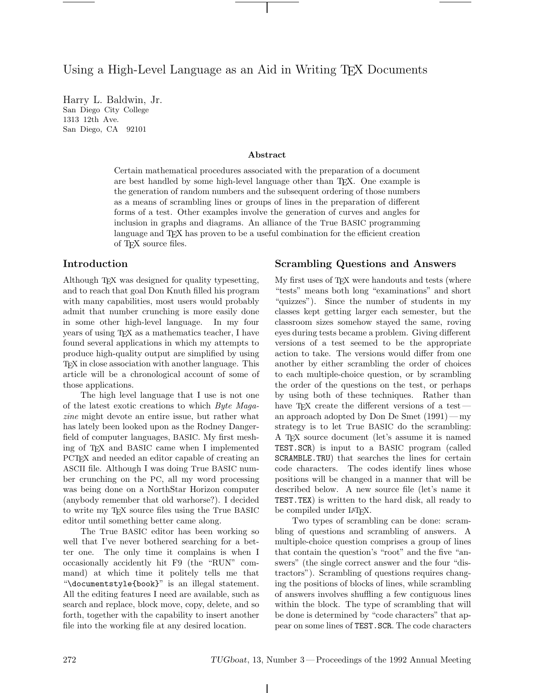Using a High-Level Language as an Aid in Writing T<sub>EX</sub> Documents

Harry L. Baldwin, Jr. San Diego City College 2323 12th Ave.<br>San Diogo CA  $S_{\alpha}$  ,  $S_{\alpha}$  ,  $S_{\alpha}$ 

Certain mathematical procedures associated with the preparation of a document are best handled by some high-level language other than T<sub>E</sub>X. One example is the generation of random numbers and the subsequent ordering of those numbers as a means of scrambling lines or groups of lines in the preparation of different forms of a test. Other examples involve the generation of curves and angles for inclusion in graphs and diagrams. An alliance of the <sup>T</sup>rue BASIC programming language and T<sub>E</sub>X has proven to be a useful combination for the efficient creation of T<sub>F</sub>X source files.

## **Introduction**

Although TEX was designed for quality typesetting, and to reach that goal Don Knuth filled his program with many capabilities, most users would probably admit that number crunching is more easily done in some other high-level language. In my four years of using T<sub>E</sub>X as a mathematics teacher, I have found several applications in which my attempts to produce high-quality output are simplified by using TEX in close association with another language. This article will be a chronological account of some of those applications.

The high level language that I use is not one of the latest exotic creations to which *Byte Magazine* might devote an entire issue, but rather what has lately been looked upon as the Rodney Dangerfield of computer languages, BASIC. My first meshing of TEX and BASIC came when I implemented PCTEX and needed an editor capable of creating an ASCII file. Although I was doing True BASIC number crunching on the PC, all my word processing was being done on a NorthStar Horizon computer (anybody remember that old warhorse?). I decided to write my TEX source files using the True BASIC editor until something better came along.

The True BASIC editor has been working so well that I've never bothered searching for a better one. The only time it complains is when I occasionally accidently hit F9 (the "RUN" command) at which time it politely tells me that "\documentstyle{book}" is an illegal statement. All the editing features I need are available, such as search and replace, block move, copy, delete, and so forth, together with the capability to insert another file into the working file at any desired location.

### **Scrambling Questions and Answers**

My first uses of TEX were handouts and tests (where "tests" means both long "examinations" and short "quizzes"). Since the number of students in my classes kept getting larger each semester, but the classroom sizes somehow stayed the same, roving eyes during tests became a problem. Giving different versions of a test seemed to be the appropriate action to take. The versions would differ from one another by either scrambling the order of choices to each multiple-choice question, or by scrambling the order of the questions on the test, or perhaps by using both of these techniques. Rather than have T<sub>EX</sub> create the different versions of a testan approach adopted by Don De Smet  $(1991)$  — my strategy is to let <sup>T</sup>rue BASIC do the scrambling: <sup>A</sup> TEX source document (let's assume it is named TEST.SCR) is input to a BASIC program (called SCRAMBLE.TRU) that searches the lines for certain code characters. The codes identify lines whose positions will be changed in a manner that will be described below. A new source file (let's name it TEST.TEX) is written to the hard disk, all ready to be compiled under LAT<sub>EX</sub>.

Two types of scrambling can be done: scrambling of questions and scrambling of answers. A multiple-choice question comprises a group of lines that contain the question's "root" and the five "answers" (the single correct answer and the four "distractors"). Scrambling of questions requires changing the positions of blocks of lines, while scrambling of answers involves shuffling a few contiguous lines within the block. The type of scrambling that will be done is determined by "code characters" that appear on some lines of TEST.SCR. The code characters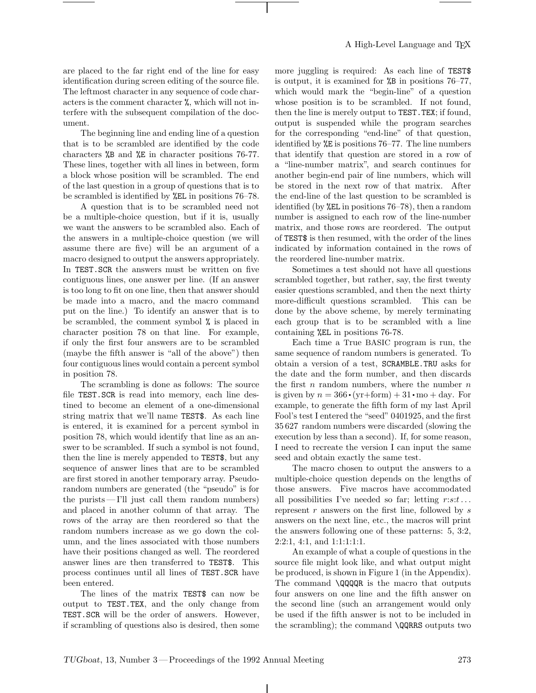are placed to the far right end of the line for easy identification during screen editing of the source file. The leftmost character in any sequence of code characters is the comment character %, which will not interfere with the subsequent compilation of the document.

The beginning line and ending line of a question that is to be scrambled are identified by the code characters %B and %E in character positions 76-77. These lines, together with all lines in between, form a block whose position will be scrambled. The end of the last question in a group of questions that is to be scrambled is identified by %EL in positions 76–78.

Aquestion that is to be scrambled need not be a multiple-choice question, but if it is, usually we want the answers to be scrambled also. Each of the answers in a multiple-choice question (we will assume there are five) will be an argument of a macro designed to output the answers appropriately. In TEST.SCR the answers must be written on five contiguous lines, one answer per line. (If an answer is too long to fit on one line, then that answer should be made into a macro, and the macro command put on the line.) To identify an answer that is to be scrambled, the comment symbol % is placed in character position 78 on that line. For example, if only the first four answers are to be scrambled (maybe the fifth answer is "all of the above") then four contiguous lines would contain a percent symbol in position 78.

The scrambling is done as follows: The source file TEST.SCR is read into memory, each line destined to become an element of a one-dimensional string matrix that we'll name TEST\$. As each line is entered, it is examined for a percent symbol in position 78, which would identify that line as an answer to be scrambled. If such a symbol is not found, then the line is merely appended to TEST\$, but any sequence of answer lines that are to be scrambled are first stored in another temporary array. Pseudorandom numbers are generated (the "pseudo" is for the purists — I'll just call them random numbers) and placed in another column of that array. The rows of the array are then reordered so that the random numbers increase as we go down the column, and the lines associated with those numbers have their positions changed as well. The reordered answer lines are then transferred to TEST\$. This process continues until all lines of TEST.SCR have been entered.

The lines of the matrix TEST\$ can now be output to TEST.TEX, and the only change from TEST.SCR will be the order of answers. However, if scrambling of questions also is desired, then some more juggling is required: As each line of TEST\$ is output, it is examined for %B in positions 76–77, which would mark the "begin-line" of a question whose position is to be scrambled. If not found, then the line is merely output to TEST.TEX; if found, output is suspended while the program searches for the corresponding "end-line" of that question, identified by %E is positions 76–77. The line numbers that identify that question are stored in a row of a "line-number matrix", and search continues for another begin-end pair of line numbers, which will be stored in the next row of that matrix. After the end-line of the last question to be scrambled is identified (by %EL in positions 76–78), then a random number is assigned to each row of the line-number matrix, and those rows are reordered. The output of TEST\$ is then resumed, with the order of the lines indicated by information contained in the rows of the reordered line-number matrix.

Sometimes a test should not have all questions scrambled together, but rather, say, the first twenty easier questions scrambled, and then the next thirty more-difficult questions scrambled. This can be done by the above scheme, by merely terminating each group that is to be scrambled with a line containing %EL in positions 76-78.

Each time a <sup>T</sup>rue BASIC program is run, the same sequence of random numbers is generated. To obtain a version of a test, SCRAMBLE.TRU asks for the date and the form number, and then discards the first  $n$  random numbers, where the number  $n$ is given by  $n = 366 \cdot (yr + form) + 31 \cdot mo + day$ . For example, to generate the fifth form of my last April Fool's test I entered the "seed" 0401925, and the first 35 627 random numbers were discarded (slowing the execution by less than a second). If, for some reason, I need to recreate the version I can input the same seed and obtain exactly the same test.

The macro chosen to output the answers to a multiple-choice question depends on the lengths of those answers. Five macros have accommodated all possibilities I've needed so far; letting  $r: s: t \dots$ represent  $r$  answers on the first line, followed by  $s$ answers on the next line, etc., the macros will print the answers following one of these patterns: 5, 3:2, 2:2:1, 4:1, and 1:1:1:1:1.

An example of what a couple of questions in the source file might look like, and what output might be produced, is shown in Figure 1 (in the Appendix). The command \QQQQR is the macro that outputs four answers on one line and the fifth answer on the second line (such an arrangement would only be used if the fifth answer is not to be included in the scrambling); the command \QQRRS outputs two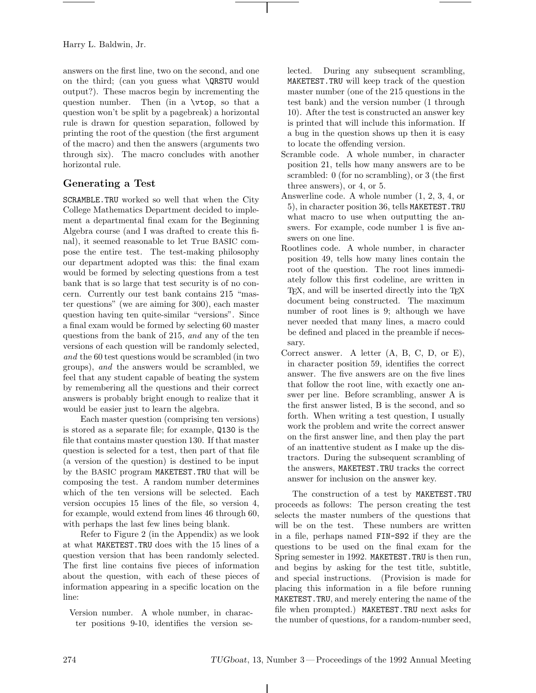Harry L. Baldwin, Jr.

answers on the first line, two on the second, and one on the third; (can you guess what \QRSTU would output?). These macros begin by incrementing the question number. Then (in a \vtop, so that a question won't be split by a pagebreak) a horizontal rule is drawn for question separation, followed by printing the root of the question (the first argument of the macro) and then the answers (arguments two through six). The macro concludes with another horizontal rule.

# **Generating a Test**

SCRAMBLE.TRU worked so well that when the City College Mathematics Department decided to implement a departmental final exam for the Beginning Algebra course (and I was drafted to create this final), it seemed reasonable to let <sup>T</sup>rue BASIC compose the entire test. The test-making philosophy our department adopted was this: the final exam would be formed by selecting questions from a test bank that is so large that test security is of no concern. Currently our test bank contains 215 "master questions" (we are aiming for 300), each master question having ten quite-similar "versions". Since a final exam would be formed by selecting 60 master questions from the bank of 215, *and* any of the ten versions of each question will be randomly selected, *and* the 60 test questions would be scrambled (in two groups), *and* the answers would be scrambled, we feel that any student capable of beating the system by remembering all the questions and their correct answers is probably bright enough to realize that it would be easier just to learn the algebra.

Each master question (comprising ten versions) is stored as a separate file; for example, Q130 is the file that contains master question 130. If that master question is selected for a test, then part of that file (a version of the question) is destined to be input by the BASIC program MAKETEST.TRU that will be composing the test. Arandom number determines which of the ten versions will be selected. Each version occupies 15 lines of the file, so version 4, for example, would extend from lines 46 through 60, with perhaps the last few lines being blank.

Refer to Figure 2 (in the Appendix) as we look at what MAKETEST.TRU does with the 15 lines of a question version that has been randomly selected. The first line contains five pieces of information about the question, with each of these pieces of information appearing in a specific location on the line:

Version number. Awhole number, in character positions 9-10, identifies the version se-

lected. During any subsequent scrambling, MAKETEST.TRU will keep track of the question master number (one of the 215 questions in the test bank) and the version number (1 through 10). After the test is constructed an answer key is printed that will include this information. If a bug in the question shows up then it is easy to locate the offending version.

- Scramble code. Awhole number, in character position 21, tells how many answers are to be scrambled: 0 (for no scrambling), or 3 (the first three answers), or 4, or 5.
- Answerline code. A whole number (1, 2, 3, 4, or 5), in character position 36, tells MAKETEST.TRU what macro to use when outputting the answers. For example, code number 1 is five answers on one line.
- Rootlines code. Awhole number, in character position 49, tells how many lines contain the root of the question. The root lines immediately follow this first codeline, are written in T<sub>EX</sub>, and will be inserted directly into the T<sub>EX</sub> document being constructed. The maximum number of root lines is 9; although we have never needed that many lines, a macro could be defined and placed in the preamble if necessary.
- Correct answer. A letter (A, B, C, D, or E), in character position 59, identifies the correct answer. The five answers are on the five lines that follow the root line, with exactly one answer per line. Before scrambling, answer A is the first answer listed, B is the second, and so forth. When writing a test question, I usually work the problem and write the correct answer on the first answer line, and then play the part of an inattentive student as I make up the distractors. During the subsequent scrambling of the answers, MAKETEST.TRU tracks the correct answer for inclusion on the answer key.

The construction of a test by MAKETEST.TRU proceeds as follows: The person creating the test selects the master numbers of the questions that will be on the test. These numbers are written in a file, perhaps named FIN-S92 if they are the questions to be used on the final exam for the Spring semester in 1992. MAKETEST.TRU is then run, and begins by asking for the test title, subtitle, and special instructions. (Provision is made for placing this information in a file before running MAKETEST.TRU, and merely entering the name of the file when prompted.) MAKETEST.TRU next asks for the number of questions, for a random-number seed,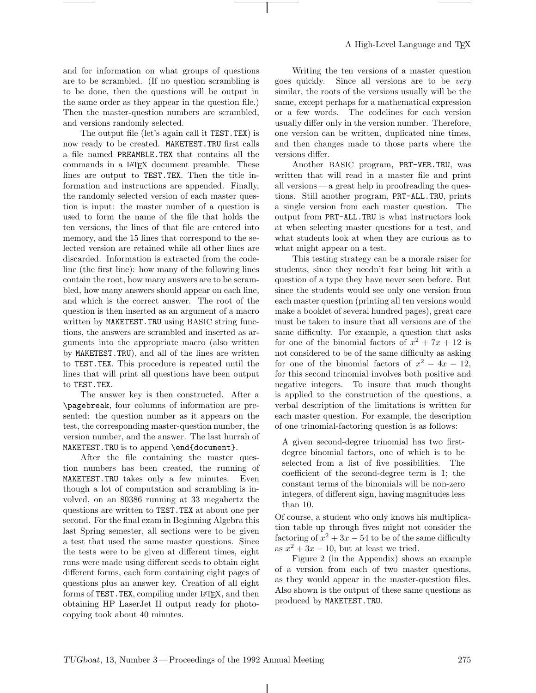and for information on what groups of questions are to be scrambled. (If no question scrambling is to be done, then the questions will be output in the same order as they appear in the question file.) Then the master-question numbers are scrambled, and versions randomly selected.

The output file (let's again call it TEST.TEX) is now ready to be created. MAKETEST.TRU first calls a file named PREAMBLE.TEX that contains all the commands in a L<sup>A</sup>TEX document preamble. These lines are output to TEST.TEX. Then the title information and instructions are appended. Finally, the randomly selected version of each master question is input: the master number of a question is used to form the name of the file that holds the ten versions, the lines of that file are entered into memory, and the 15 lines that correspond to the selected version are retained while all other lines are discarded. Information is extracted from the codeline (the first line): how many of the following lines contain the root, how many answers are to be scrambled, how many answers should appear on each line, and which is the correct answer. The root of the question is then inserted as an argument of a macro written by MAKETEST.TRU using BASIC string functions, the answers are scrambled and inserted as arguments into the appropriate macro (also written by MAKETEST.TRU), and all of the lines are written to TEST.TEX. This procedure is repeated until the lines that will print all questions have been output to TEST.TEX.

The answer key is then constructed. After a \pagebreak, four columns of information are presented: the question number as it appears on the test, the corresponding master-question number, the version number, and the answer. The last hurrah of MAKETEST.TRU is to append \end{document}.

After the file containing the master question numbers has been created, the running of MAKETEST.TRU takes only a few minutes. Even though a lot of computation and scrambling is involved, on an 80386 running at 33 megahertz the questions are written to TEST.TEX at about one per second. For the final exam in Beginning Algebra this last Spring semester, all sections were to be given a test that used the same master questions. Since the tests were to be given at different times, eight runs were made using different seeds to obtain eight different forms, each form containing eight pages of questions plus an answer key. Creation of all eight forms of TEST. TEX, compiling under LAT<sub>EX</sub>, and then obtaining HP LaserJet II output ready for photocopying took about 40 minutes.

Writing the ten versions of a master question goes quickly. Since all versions are to be *very* similar, the roots of the versions usually will be the same, except perhaps for a mathematical expression or a few words. The codelines for each version usually differ only in the version number. Therefore, one version can be written, duplicated nine times, and then changes made to those parts where the versions differ.

Another BASIC program, PRT-VER.TRU, was written that will read in a master file and print all versions— a great help in proofreading the questions. Still another program, PRT-ALL.TRU, prints a single version from each master question. The output from PRT-ALL.TRU is what instructors look at when selecting master questions for a test, and what students look at when they are curious as to what might appear on a test.

This testing strategy can be a morale raiser for students, since they needn't fear being hit with a question of a type they have never seen before. But since the students would see only one version from each master question (printing all ten versions would make a booklet of several hundred pages), great care must be taken to insure that all versions are of the same difficulty. For example, a question that asks for one of the binomial factors of  $x^2 + 7x + 12$  is not considered to be of the same difficulty as asking for one of the binomial factors of  $x^2 - 4x - 12$ , for this second trinomial involves both positive and negative integers. To insure that much thought is applied to the construction of the questions, a verbal description of the limitations is written for each master question. For example, the description of one trinomial-factoring question is as follows:

Agiven second-degree trinomial has two firstdegree binomial factors, one of which is to be selected from a list of five possibilities. The coefficient of the second-degree term is 1; the constant terms of the binomials will be non-zero integers, of different sign, having magnitudes less than 10.

Of course, a student who only knows his multiplication table up through fives might not consider the factoring of  $x^2 + 3x - 54$  to be of the same difficulty as  $x^2 + 3x - 10$ , but at least we tried.

Figure 2 (in the Appendix) shows an example of a version from each of two master questions, as they would appear in the master-question files. Also shown is the output of these same questions as produced by MAKETEST.TRU.

 $\mathbf{I}$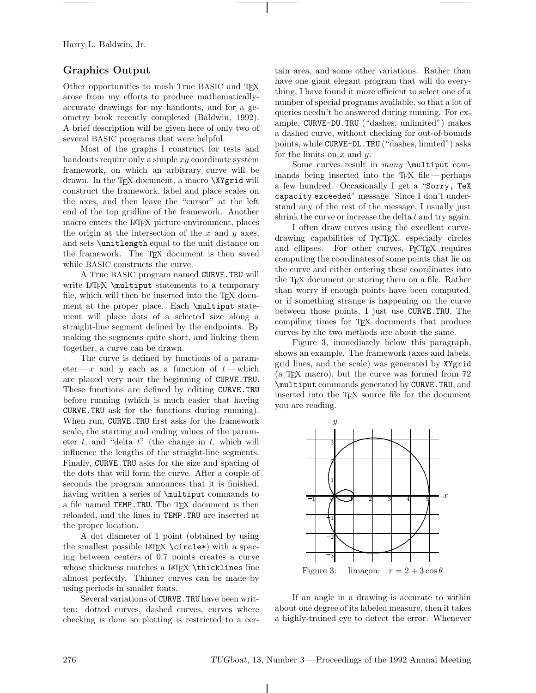Harry L. Baldwin, Jr.

## **Graphics Output**

Other opportunities to mesh True BASIC and TEX arose from my efforts to produce mathematicallyaccurate drawings for my handouts, and for a geometry book recently completed (Baldwin, 1992). Abrief description will be given here of only two of several BASIC programs that were helpful.

Most of the graphs I construct for tests and handouts require only a simple xy coordinate system framework, on which an arbitrary curve will be drawn. In the TEX document, a macro **\XYgrid** will construct the framework, label and place scales on the axes, and then leave the "cursor" at the left end of the top gridline of the framework. Another macro enters the <sup>L</sup><sup>A</sup>TEX picture environment, places the origin at the intersection of the  $x$  and  $y$  axes, and sets \unitlength equal to the unit distance on the framework. The TEX document is then saved while BASIC constructs the curve.

<sup>A</sup> <sup>T</sup>rue BASIC program named CURVE.TRU will write LAT<sub>EX</sub> \multiput statements to a temporary file, which will then be inserted into the TEX document at the proper place. Each \multiput statement will place dots of a selected size along a straight-line segment defined by the endpoints. By making the segments quite short, and linking them together, a curve can be drawn.

The curve is defined by functions of a parameter—x and y each as a function of  $t$ —which are placed very near the beginning of CURVE.TRU. These functions are defined by editing CURVE.TRU before running (which is much easier that having CURVE.TRU ask for the functions during running). When run, CURVE.TRU first asks for the framework scale, the starting and ending values of the parameter  $t$ , and "delta  $t$ " (the change in  $t$ , which will influence the lengths of the straight-line segments. Finally, CURVE.TRU asks for the size and spacing of the dots that will form the curve. After a couple of seconds the program announces that it is finished, having written a series of \multiput commands to a file named TEMP.TRU. The T<sub>E</sub>X document is then reloaded, and the lines in TEMP.TRU are inserted at the proper location.

Adot diameter of 1 point (obtained by using the smallest possible <sup>L</sup><sup>A</sup>TEX \circle\*) with a spacing between centers of 0.7 points creates a curve whose thickness matches a LAT<sub>EX</sub> \thicklines line almost perfectly. Thinner curves can be made by using periods in smaller fonts.

Several variations of CURVE.TRU have been written: dotted curves, dashed curves, curves where checking is done so plotting is restricted to a certain area, and some other variations. Rather than have one giant elegant program that will do everything, I have found it more efficient to select one of a number of special programs available, so that a lot of queries needn't be answered during running. For example, CURVE-DU.TRU ("dashes, unlimited") makes a dashed curve, without checking for out-of-bounds points, while CURVE-DL.TRU ("dashes, limited") asks for the limits on  $x$  and  $y$ .

Some curves result in *many* **\multiput** commands being inserted into the TFX file — perhaps a few hundred. Occasionally I get a "Sorry, TeX capacity exceeded" message. Since I don't understand any of the rest of the message, I usually just shrink the curve or increase the delta  $t$  and try again.

I often draw curves using the excellent curvedrawing capabilities of P<sub>I</sub>CT<sub>E</sub>X, especially circles and ellipses. For other curves, P<sub>I</sub>CT<sub>E</sub>X requires computing the coordinates of some points that lie on the curve and either entering these coordinates into the TEX document or storing them on a file. Rather than worry if enough points have been computed, or if something strange is happening on the curve between those points, I just use CURVE.TRU. The compiling times for TEX documents that produce curves by the two methods are about the same.

Figure 3, immediately below this paragraph, shows an example. The framework (axes and labels, grid lines, and the scale) was generated by XYgrid (a TEX macro), but the curve was formed from 72 \multiput commands generated by CURVE.TRU, and inserted into the TEX source file for the document you are reading.



If an angle in a drawing is accurate to within about one degree of its labeled measure, then it takes a highly-trained eye to detect the error. Whenever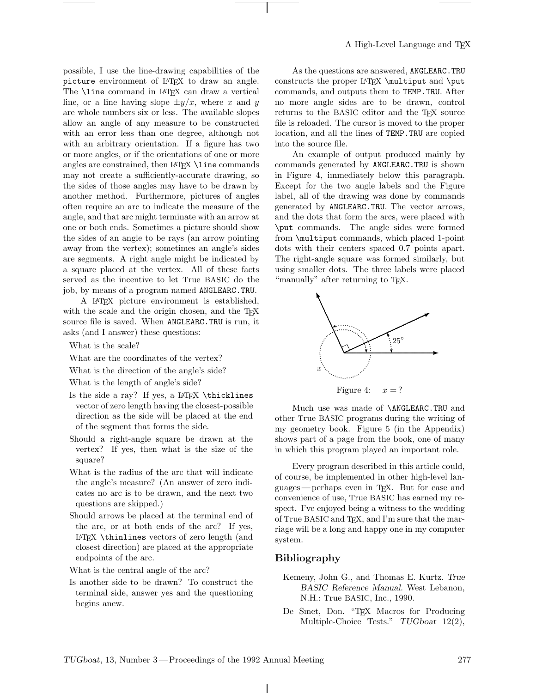possible, I use the line-drawing capabilities of the picture environment of <sup>L</sup><sup>A</sup>TEX to draw an angle. The **\line** command in LAT<sub>E</sub>X can draw a vertical line, or a line having slope  $\pm y/x$ , where x and y are whole numbers six or less. The available slopes allow an angle of any measure to be constructed with an error less than one degree, although not with an arbitrary orientation. If a figure has two or more angles, or if the orientations of one or more angles are constrained, then  $\text{LATEX} \setminus \text{line commands}$ may not create a sufficiently-accurate drawing, so the sides of those angles may have to be drawn by another method. Furthermore, pictures of angles often require an arc to indicate the measure of the angle, and that arc might terminate with an arrow at one or both ends. Sometimes a picture should show the sides of an angle to be rays (an arrow pointing away from the vertex); sometimes an angle's sides are segments. Aright angle might be indicated by a square placed at the vertex. All of these facts served as the incentive to let <sup>T</sup>rue BASIC do the job, by means of a program named ANGLEARC.TRU.

<sup>A</sup> <sup>L</sup><sup>A</sup>TEX picture environment is established, with the scale and the origin chosen, and the T<sub>E</sub>X source file is saved. When ANGLEARC.TRU is run, it asks (and I answer) these questions:

What is the scale?

What are the coordinates of the vertex?

What is the direction of the angle's side?

What is the length of angle's side?

- Is the side a ray? If yes, a LAT<sub>EX</sub> \thicklines vector of zero length having the closest-possible direction as the side will be placed at the end of the segment that forms the side.
- Should a right-angle square be drawn at the vertex? If yes, then what is the size of the square?
- What is the radius of the arc that will indicate the angle's measure? (An answer of zero indicates no arc is to be drawn, and the next two questions are skipped.)
- Should arrows be placed at the terminal end of the arc, or at both ends of the arc? If yes, L<sup>A</sup>TEX \thinlines vectors of zero length (and closest direction) are placed at the appropriate endpoints of the arc.

What is the central angle of the arc?

Is another side to be drawn? To construct the terminal side, answer yes and the questioning begins anew.

As the questions are answered, ANGLEARC.TRU constructs the proper LAT<sub>EX</sub> \multiput and \put commands, and outputs them to TEMP.TRU. A fter no more angle sides are to be drawn, control returns to the BASIC editor and the T<sub>EX</sub> source file is reloaded. The cursor is moved to the proper location, and all the lines of TEMP.TRU are copied into the source file.

An example of output produced mainly by commands generated by ANGLEARC.TRU is shown in Figure 4, immediately below this paragraph. Except for the two angle labels and the Figure label, all of the drawing was done by commands generated by ANGLEARC.TRU. The vector arrows, and the dots that form the arcs, were placed with \put commands. The angle sides were formed from \multiput commands, which placed 1-point dots with their centers spaced 0.7 points apart. The right-angle square was formed similarly, but using smaller dots. The three labels were placed "manually" after returning to T<sub>E</sub>X.



Figure 4:  $x = ?$ 

Much use was made of \ANGLEARC.TRU and other <sup>T</sup>rue BASIC programs during the writing of my geometry book. Figure 5 (in the Appendix) shows part of a page from the book, one of many in which this program played an important role.

Every program described in this article could, of course, be implemented in other high-level languages— perhaps even in TEX. But for ease and convenience of use, <sup>T</sup>rue BASIC has earned my respect. I've enjoyed being a witness to the wedding of True BASIC and TEX, and I'm sure that the marriage will be a long and happy one in my computer system.

## **Bibliography**

- Kemeny, John G., and Thomas E. Kurtz. *True BASIC Reference Manual*. West Lebanon, N.H.: <sup>T</sup>rue BASIC, Inc., 1990.
- De Smet, Don. "TEX Macros for Producing Multiple-Choice Tests." *TUGboat* 12(2),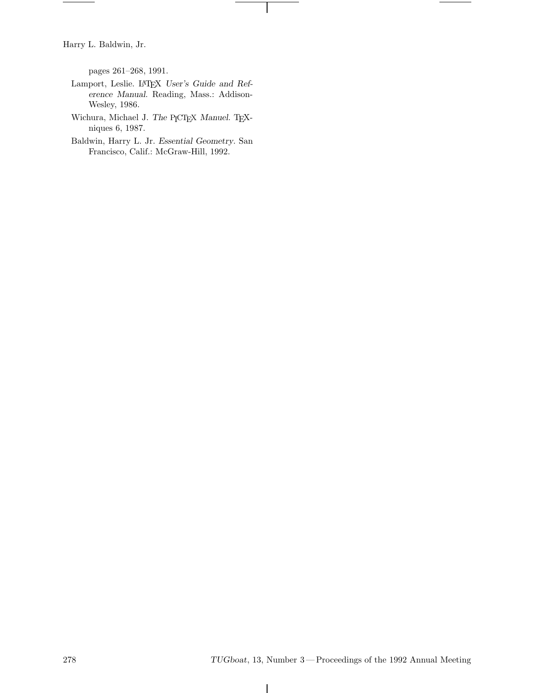Harry L. Baldwin, Jr.

pages 261–268, 1991.

- Lamport, Leslie. LATEX *User's Guide and Reference Manual*. Reading, Mass.: Addison-Wesley, 1986.
- Wichura, Michael J. *The* PICTEX *Manuel*. TEXniques 6, 1987.
- Baldwin, Harry L. Jr. *Essential Geometry*. San Francisco, Calif.: McGraw-Hill, 1992.

 $\overline{\phantom{a}}$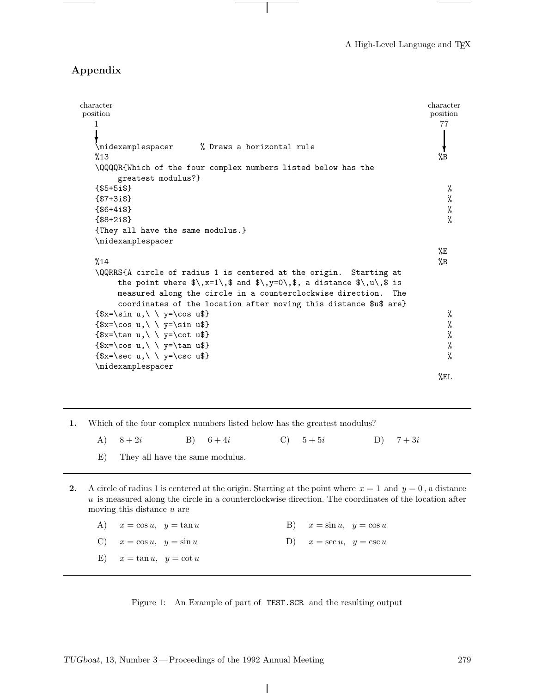## **Appendix**

| character                                                                           | character      |
|-------------------------------------------------------------------------------------|----------------|
| position<br>1                                                                       | position<br>77 |
|                                                                                     |                |
|                                                                                     |                |
| \midexamplespacer % Draws a horizontal rule<br>%13                                  | %B             |
|                                                                                     |                |
| \QQQQR{Which of the four complex numbers listed below has the<br>greatest modulus?} |                |
| ${ $5+5i$}$                                                                         | %              |
| ${ $7+3i$}$                                                                         | %              |
| ${86+4i$ \$}                                                                        | %              |
| ${ $8+2i$}$                                                                         | %              |
| {They all have the same modulus.}                                                   |                |
| \midexamplespacer                                                                   |                |
|                                                                                     | %E             |
| %14                                                                                 | %B             |
| \QQRRS{A circle of radius 1 is centered at the origin. Starting at                  |                |
| the point where $\{\x, x=1\}, \$ and $\\}, y=0\}, \$ , a distance $\{\x, u\}, \$ is |                |
| measured along the circle in a counterclockwise direction. The                      |                |
| coordinates of the location after moving this distance \$u\$ are}                   |                |
| $\{\$x=\sin u,\{\ \} \$                                                             | %              |
| $\{\$x=\cos u,\ \ \vee \ \ y=\sin u\}\$                                             | %              |
| $\{\$x=\tan u,\(\ \ y=\cot u\$\})$                                                  | %              |
| $\{x=\cos u,\ \ \vee \ y=\tan u\}$                                                  | %              |
| $\{\$x=\text{sec } u,\mathcal{v}\ \ y=\text{csc } u\$                               | %              |
| \midexamplespacer                                                                   |                |
|                                                                                     | %EL            |

- **1.** Which of the four complex numbers listed below has the greatest modulus?
	- A  $8+2i$  B  $6+4i$  C  $5+5i$  D  $7+3i$
	- E) They all have the same modulus.
- **2.** A circle of radius 1 is centered at the origin. Starting at the point where  $x = 1$  and  $y = 0$ , a distance u is measured along the circle in a counterclockwise direction. The coordinates of the location after moving this distance  $u$  are

| A) $x = \cos u, y = \tan u$ |  | B) $x = \sin u, y = \cos u$ |  |
|-----------------------------|--|-----------------------------|--|
| C) $x = \cos u, y = \sin u$ |  | D) $x = \sec u, y = \csc u$ |  |
| E) $x = \tan u, y = \cot u$ |  |                             |  |

Figure 1: An Example of part of TEST.SCR and the resulting output

 $\mathbf{I}$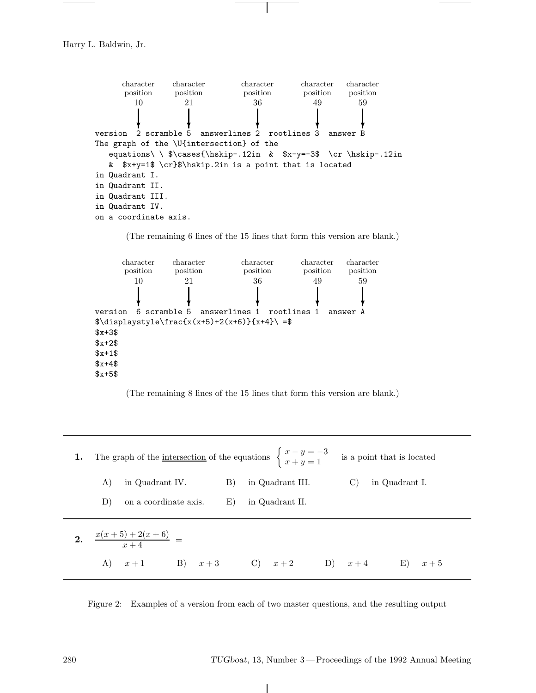Harry L. Baldwin, Jr.

character character character character character position position position position position  $\overline{10}$  $\overline{21}$  $36$  $49$  $59$ **❄ ❄ ❄ ❄ ❄** version 2 scramble 5 answerlines 2 rootlines 3 answer B The graph of the \U{intersection} of the equations\ \  $\cas\$  \cases{\hskip-.12in &  $x-y=-3$  \cr \hskip-.12in & \$x+y=1\$ \cr}\$\hskip.2in is a point that is located in Quadrant I. in Quadrant II. in Quadrant III. in Quadrant IV. on a coordinate axis.

(The remaining 6 lines of the 15 lines that form this version are blank.)



(The remaining 8 lines of the 15 lines that form this version are blank.)

**1.** The graph of the <u>intersection</u> of the equations  $\begin{cases} x - y = -3 \\ x + y = 1 \end{cases}$ is a point that is located  $% \alpha$ A) in Quadrant IV. B) in Quadrant III. C) in Quadrant I. D) on a coordinate axis. E) in Quadrant II. **2.**  $\frac{x(x+5)+2(x+6)}{x+4}$  = A)  $x+1$  B)  $x+3$  C)  $x+2$  D)  $x+4$  E)  $x+5$ 

Figure 2: Examples of a version from each of two master questions, and the resulting output